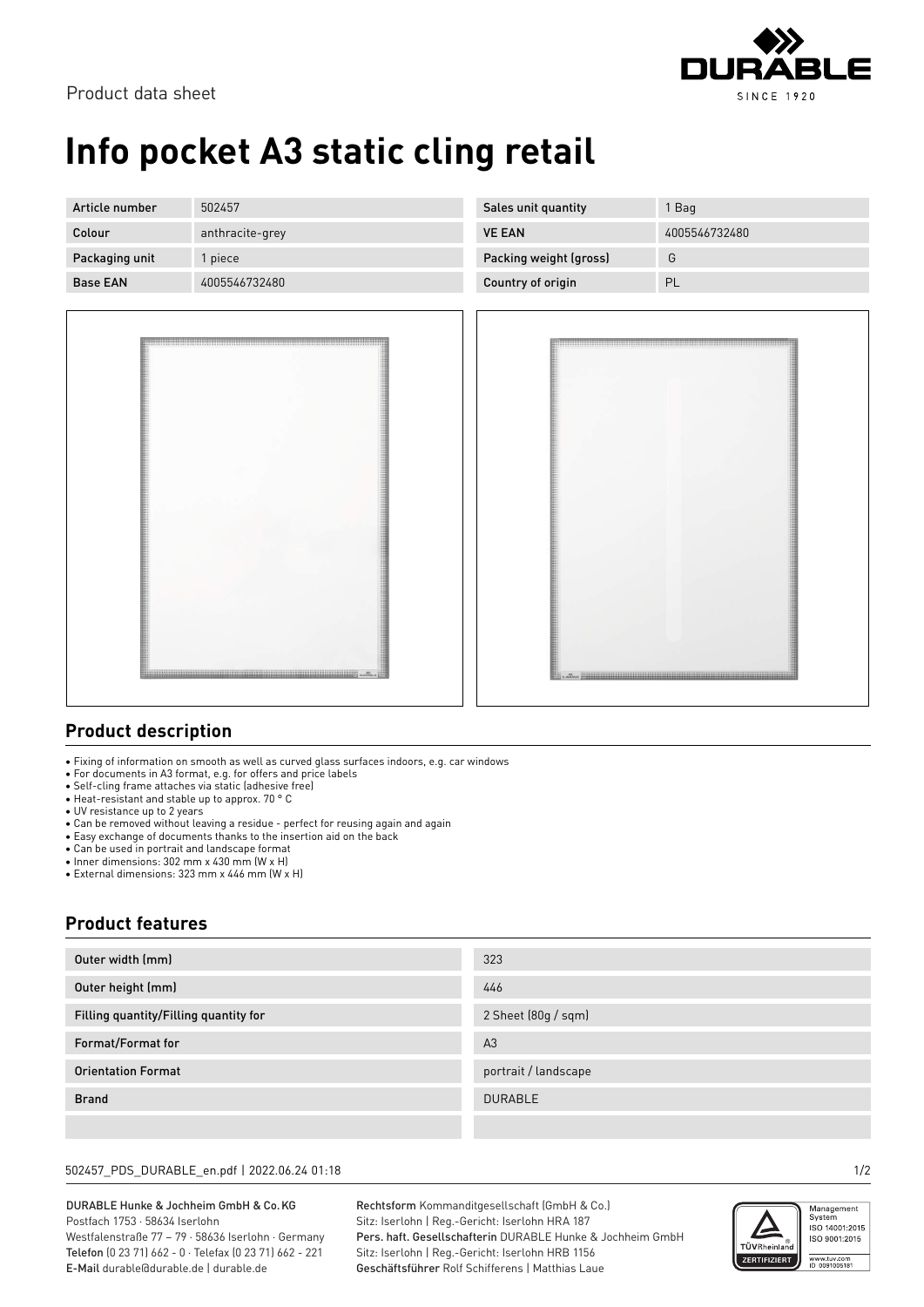

# **Info pocket A3 static cling retail**

| Article number  | 502457          | Sales unit quantity    | Bag           |
|-----------------|-----------------|------------------------|---------------|
| Colour          | anthracite-grey | <b>VE EAN</b>          | 4005546732480 |
| Packaging unit  | piece           | Packing weight (gross) | G             |
| <b>Base EAN</b> | 4005546732480   | Country of origin      | PL            |



### **Product description**

• Fixing of information on smooth as well as curved glass surfaces indoors, e.g. car windows

• For documents in A3 format, e.g. for offers and price labels

- Self-cling frame attaches via static (adhesive free)
- Heat-resistant and stable up to approx. 70 ° C
- UV resistance up to 2 years
- Can be removed without leaving a residue perfect for reusing again and again
- Easy exchange of documents thanks to the insertion aid on the back

• Can be used in portrait and landscape format

• Inner dimensions: 302 mm x 430 mm (W x H)

• External dimensions: 323 mm x 446 mm (W x H)

### **Product features**

| Outer width (mm)                      | 323                  |
|---------------------------------------|----------------------|
| Outer height (mm)                     | 446                  |
| Filling quantity/Filling quantity for | 2 Sheet (80g / sqm)  |
| Format/Format for                     | A <sub>3</sub>       |
| <b>Orientation Format</b>             | portrait / landscape |
| <b>Brand</b>                          | <b>DURABLE</b>       |
|                                       |                      |

#### 502457\_PDS\_DURABLE\_en.pdf | 2022.06.24 01:18 1/2

DURABLE Hunke & Jochheim GmbH & Co.KG Postfach 1753 · 58634 Iserlohn Westfalenstraße 77 – 79 · 58636 Iserlohn · Germany Telefon (0 23 71) 662 - 0 · Telefax (0 23 71) 662 - 221 E-Mail durable@durable.de | durable.de

Rechtsform Kommanditgesellschaft (GmbH & Co.) Sitz: Iserlohn | Reg.-Gericht: Iserlohn HRA 187 Pers. haft. Gesellschafterin DURABLE Hunke & Jochheim GmbH Sitz: Iserlohn | Reg.-Gericht: Iserlohn HRB 1156 Geschäftsführer Rolf Schifferens | Matthias Laue